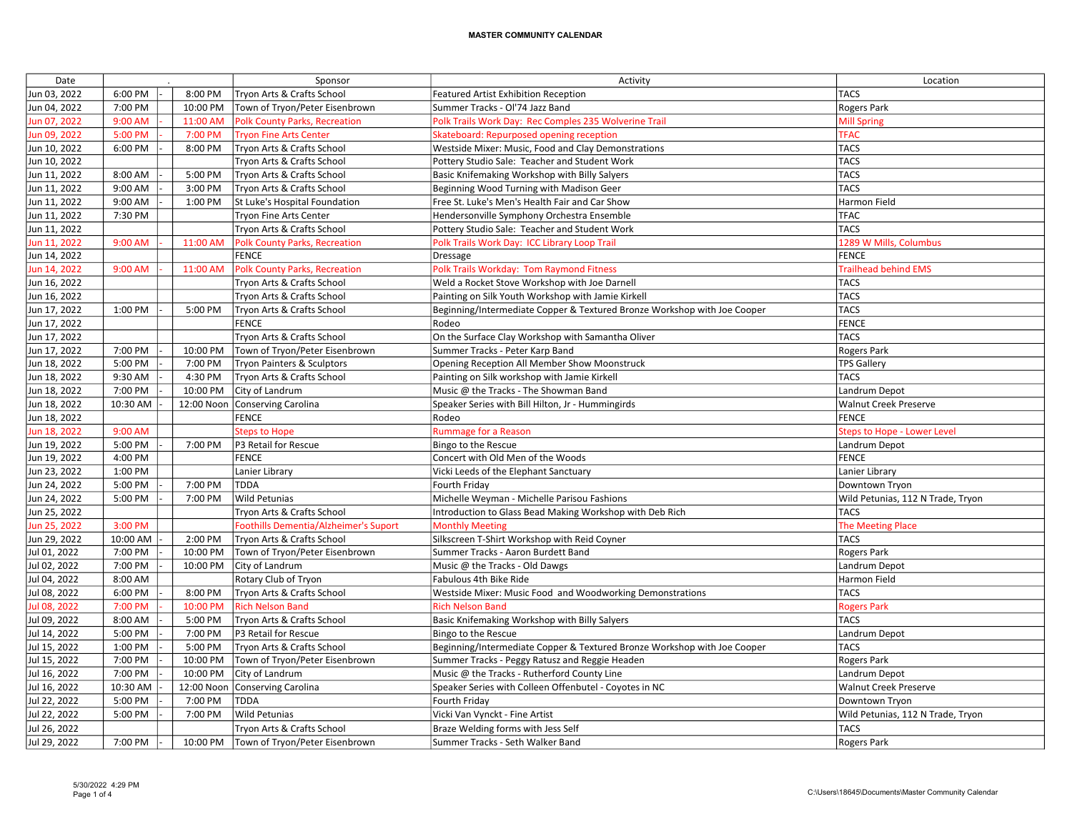| Date         |          |            | Sponsor                               | Activity                                                                 | Location                           |
|--------------|----------|------------|---------------------------------------|--------------------------------------------------------------------------|------------------------------------|
| Jun 03, 2022 | 6:00 PM  | 8:00 PM    | Tryon Arts & Crafts School            | Featured Artist Exhibition Reception                                     | <b>TACS</b>                        |
| Jun 04, 2022 | 7:00 PM  | 10:00 PM   | Town of Tryon/Peter Eisenbrown        | Summer Tracks - Ol'74 Jazz Band                                          | Rogers Park                        |
| Jun 07, 2022 | 9:00 AM  | 11:00 AM   | <b>Polk County Parks, Recreation</b>  | Polk Trails Work Day: Rec Comples 235 Wolverine Trail                    | <b>Mill Spring</b>                 |
| Jun 09, 2022 | 5:00 PM  | 7:00 PM    | <b>Tryon Fine Arts Center</b>         | Skateboard: Repurposed opening reception                                 | <b>TFAC</b>                        |
| Jun 10, 2022 | 6:00 PM  | 8:00 PM    | Tryon Arts & Crafts School            | Westside Mixer: Music, Food and Clay Demonstrations                      | <b>TACS</b>                        |
| Jun 10, 2022 |          |            | Tryon Arts & Crafts School            | Pottery Studio Sale: Teacher and Student Work                            | <b>TACS</b>                        |
| Jun 11, 2022 | 8:00 AM  | 5:00 PM    | Tryon Arts & Crafts School            | Basic Knifemaking Workshop with Billy Salyers                            | <b>TACS</b>                        |
| Jun 11, 2022 | 9:00 AM  | 3:00 PM    | Tryon Arts & Crafts School            | Beginning Wood Turning with Madison Geer                                 | <b>TACS</b>                        |
| Jun 11, 2022 | 9:00 AM  | 1:00 PM    | St Luke's Hospital Foundation         | Free St. Luke's Men's Health Fair and Car Show                           | Harmon Field                       |
| Jun 11, 2022 | 7:30 PM  |            | Tryon Fine Arts Center                | Hendersonville Symphony Orchestra Ensemble                               | <b>TFAC</b>                        |
| Jun 11, 2022 |          |            | Tryon Arts & Crafts School            | Pottery Studio Sale: Teacher and Student Work                            | <b>TACS</b>                        |
| Jun 11, 2022 | 9:00 AM  | 11:00 AM   | <b>Polk County Parks, Recreation</b>  | Polk Trails Work Day: ICC Library Loop Trail                             | 1289 W Mills, Columbus             |
| Jun 14, 2022 |          |            | <b>FENCE</b>                          | Dressage                                                                 | <b>FENCE</b>                       |
| Jun 14, 2022 | 9:00 AM  | 11:00 AM   | <b>Polk County Parks, Recreation</b>  | Polk Trails Workday: Tom Raymond Fitness                                 | <b>Trailhead behind EMS</b>        |
| Jun 16, 2022 |          |            | Tryon Arts & Crafts School            | Weld a Rocket Stove Workshop with Joe Darnell                            | <b>TACS</b>                        |
| Jun 16, 2022 |          |            | Tryon Arts & Crafts School            | Painting on Silk Youth Workshop with Jamie Kirkell                       | <b>TACS</b>                        |
| Jun 17, 2022 | 1:00 PM  | 5:00 PM    | Tryon Arts & Crafts School            | Beginning/Intermediate Copper & Textured Bronze Workshop with Joe Cooper | <b>TACS</b>                        |
| Jun 17, 2022 |          |            | <b>FENCE</b>                          | Rodeo                                                                    | <b>FENCE</b>                       |
| Jun 17, 2022 |          |            | Tryon Arts & Crafts School            | On the Surface Clay Workshop with Samantha Oliver                        | <b>TACS</b>                        |
| Jun 17, 2022 | 7:00 PM  | 10:00 PM   | Town of Tryon/Peter Eisenbrown        | Summer Tracks - Peter Karp Band                                          | Rogers Park                        |
| Jun 18, 2022 | 5:00 PM  | 7:00 PM    | <b>Tryon Painters &amp; Sculptors</b> | Opening Reception All Member Show Moonstruck                             | <b>TPS Gallery</b>                 |
| Jun 18, 2022 | 9:30 AM  | 4:30 PM    | Tryon Arts & Crafts School            | Painting on Silk workshop with Jamie Kirkell                             | <b>TACS</b>                        |
| Jun 18, 2022 | 7:00 PM  | 10:00 PM   | City of Landrum                       | Music @ the Tracks - The Showman Band                                    | Landrum Depot                      |
| Jun 18, 2022 | 10:30 AM | 12:00 Noon | Conserving Carolina                   | Speaker Series with Bill Hilton, Jr - Hummingirds                        | Walnut Creek Preserve              |
| Jun 18, 2022 |          |            | <b>FENCE</b>                          | Rodeo                                                                    | <b>FENCE</b>                       |
| Jun 18, 2022 | 9:00 AM  |            | <b>Steps to Hope</b>                  | <b>Rummage for a Reason</b>                                              | <b>Steps to Hope - Lower Level</b> |
| Jun 19, 2022 | 5:00 PM  | 7:00 PM    | P3 Retail for Rescue                  | Bingo to the Rescue                                                      | Landrum Depot                      |
| Jun 19, 2022 | 4:00 PM  |            | <b>FENCE</b>                          | Concert with Old Men of the Woods                                        | <b>FENCE</b>                       |
| Jun 23, 2022 | 1:00 PM  |            | Lanier Library                        | Vicki Leeds of the Elephant Sanctuary                                    | Lanier Library                     |
| Jun 24, 2022 | 5:00 PM  | 7:00 PM    | TDDA                                  | Fourth Friday                                                            | Downtown Tryon                     |
| Jun 24, 2022 | 5:00 PM  | 7:00 PM    | Wild Petunias                         | Michelle Weyman - Michelle Parisou Fashions                              | Wild Petunias, 112 N Trade, Tryon  |
| Jun 25, 2022 |          |            | Tryon Arts & Crafts School            | Introduction to Glass Bead Making Workshop with Deb Rich                 | <b>TACS</b>                        |
| Jun 25, 2022 | 3:00 PM  |            | Foothills Dementia/Alzheimer's Suport | <b>Monthly Meeting</b>                                                   | <b>The Meeting Place</b>           |
| Jun 29, 2022 | 10:00 AM | 2:00 PM    | Tryon Arts & Crafts School            | Silkscreen T-Shirt Workshop with Reid Coyner                             | <b>TACS</b>                        |
| Jul 01, 2022 | 7:00 PM  | 10:00 PM   | Town of Tryon/Peter Eisenbrown        | Summer Tracks - Aaron Burdett Band                                       | Rogers Park                        |
| Jul 02, 2022 | 7:00 PM  | 10:00 PM   | City of Landrum                       | Music @ the Tracks - Old Dawgs                                           | Landrum Depot                      |
| Jul 04, 2022 | 8:00 AM  |            | Rotary Club of Tryon                  | Fabulous 4th Bike Ride                                                   | Harmon Field                       |
| Jul 08, 2022 | 6:00 PM  | 8:00 PM    | Tryon Arts & Crafts School            | Westside Mixer: Music Food and Woodworking Demonstrations                | <b>TACS</b>                        |
| Jul 08, 2022 | 7:00 PM  | 10:00 PM   | <b>Rich Nelson Band</b>               | <b>Rich Nelson Band</b>                                                  | <b>Rogers Park</b>                 |
| Jul 09, 2022 | 8:00 AM  | 5:00 PM    | Tryon Arts & Crafts School            | Basic Knifemaking Workshop with Billy Salyers                            | <b>TACS</b>                        |
| Jul 14, 2022 | 5:00 PM  | 7:00 PM    | P3 Retail for Rescue                  | Bingo to the Rescue                                                      | Landrum Depot                      |
| Jul 15, 2022 | 1:00 PM  | 5:00 PM    | Tryon Arts & Crafts School            | Beginning/Intermediate Copper & Textured Bronze Workshop with Joe Cooper | <b>TACS</b>                        |
| Jul 15, 2022 | 7:00 PM  | 10:00 PM   | Town of Tryon/Peter Eisenbrown        | Summer Tracks - Peggy Ratusz and Reggie Headen                           | Rogers Park                        |
| Jul 16, 2022 | 7:00 PM  | 10:00 PM   | City of Landrum                       | Music @ the Tracks - Rutherford County Line                              | Landrum Depot                      |
| Jul 16, 2022 | 10:30 AM | 12:00 Noon | Conserving Carolina                   | Speaker Series with Colleen Offenbutel - Coyotes in NC                   | Walnut Creek Preserve              |
| Jul 22, 2022 | 5:00 PM  | 7:00 PM    | <b>TDDA</b>                           | Fourth Friday                                                            | Downtown Tryon                     |
| Jul 22, 2022 | 5:00 PM  | 7:00 PM    | Wild Petunias                         | Vicki Van Vynckt - Fine Artist                                           | Wild Petunias, 112 N Trade, Tryon  |
| Jul 26, 2022 |          |            | Tryon Arts & Crafts School            | Braze Welding forms with Jess Self                                       | <b>TACS</b>                        |
| Jul 29, 2022 | 7:00 PM  | 10:00 PM   | Town of Tryon/Peter Eisenbrown        | Summer Tracks - Seth Walker Band                                         | Rogers Park                        |
|              |          |            |                                       |                                                                          |                                    |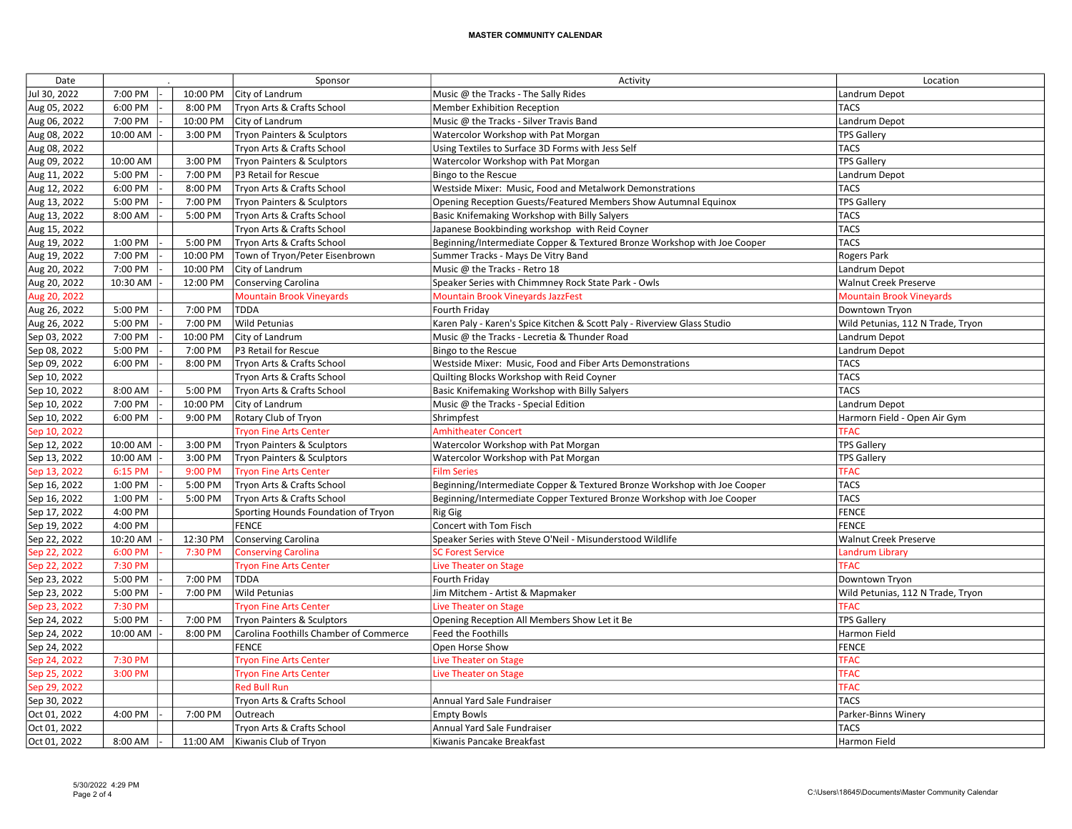| Date         |          |          | Sponsor                                | Activity                                                                 | Location                          |
|--------------|----------|----------|----------------------------------------|--------------------------------------------------------------------------|-----------------------------------|
| Jul 30, 2022 | 7:00 PM  | 10:00 PM | City of Landrum                        | Music @ the Tracks - The Sally Rides                                     | Landrum Depot                     |
| Aug 05, 2022 | 6:00 PM  | 8:00 PM  | Tryon Arts & Crafts School             | <b>Member Exhibition Reception</b>                                       | <b>TACS</b>                       |
| Aug 06, 2022 | 7:00 PM  | 10:00 PM | City of Landrum                        | Music @ the Tracks - Silver Travis Band                                  | Landrum Depot                     |
| Aug 08, 2022 | 10:00 AM | 3:00 PM  | Tryon Painters & Sculptors             | Watercolor Workshop with Pat Morgan                                      | <b>TPS Gallery</b>                |
| Aug 08, 2022 |          |          | Tryon Arts & Crafts School             | Using Textiles to Surface 3D Forms with Jess Self                        | <b>TACS</b>                       |
| Aug 09, 2022 | 10:00 AM | 3:00 PM  | <b>Tryon Painters &amp; Sculptors</b>  | Watercolor Workshop with Pat Morgan                                      | <b>TPS Gallery</b>                |
| Aug 11, 2022 | 5:00 PM  | 7:00 PM  | P3 Retail for Rescue                   | Bingo to the Rescue                                                      | Landrum Depot                     |
| Aug 12, 2022 | 6:00 PM  | 8:00 PM  | Tryon Arts & Crafts School             | Westside Mixer: Music, Food and Metalwork Demonstrations                 | <b>TACS</b>                       |
| Aug 13, 2022 | 5:00 PM  | 7:00 PM  | Tryon Painters & Sculptors             | Opening Reception Guests/Featured Members Show Autumnal Equinox          | <b>TPS Gallery</b>                |
| Aug 13, 2022 | 8:00 AM  | 5:00 PM  | Tryon Arts & Crafts School             | Basic Knifemaking Workshop with Billy Salyers                            | <b>TACS</b>                       |
| Aug 15, 2022 |          |          | Tryon Arts & Crafts School             | Japanese Bookbinding workshop with Reid Coyner                           | TACS                              |
| Aug 19, 2022 | 1:00 PM  | 5:00 PM  | Tryon Arts & Crafts School             | Beginning/Intermediate Copper & Textured Bronze Workshop with Joe Cooper | <b>TACS</b>                       |
| Aug 19, 2022 | 7:00 PM  | 10:00 PM | Town of Tryon/Peter Eisenbrown         | Summer Tracks - Mays De Vitry Band                                       | <b>Rogers Park</b>                |
| Aug 20, 2022 | 7:00 PM  | 10:00 PM | City of Landrum                        | Music @ the Tracks - Retro 18                                            | Landrum Depot                     |
| Aug 20, 2022 | 10:30 AM | 12:00 PM | <b>Conserving Carolina</b>             | Speaker Series with Chimmney Rock State Park - Owls                      | <b>Walnut Creek Preserve</b>      |
| Aug 20, 2022 |          |          | <b>Mountain Brook Vineyards</b>        | <b>Mountain Brook Vineyards JazzFest</b>                                 | <b>Mountain Brook Vineyards</b>   |
| Aug 26, 2022 | 5:00 PM  | 7:00 PM  | <b>TDDA</b>                            | Fourth Friday                                                            | Downtown Tryon                    |
| Aug 26, 2022 | 5:00 PM  | 7:00 PM  | Wild Petunias                          | Karen Paly - Karen's Spice Kitchen & Scott Paly - Riverview Glass Studio | Wild Petunias, 112 N Trade, Tryon |
| Sep 03, 2022 | 7:00 PM  | 10:00 PM | City of Landrum                        | Music @ the Tracks - Lecretia & Thunder Road                             | Landrum Depot                     |
| Sep 08, 2022 | 5:00 PM  | 7:00 PM  | P3 Retail for Rescue                   | Bingo to the Rescue                                                      | Landrum Depot                     |
| Sep 09, 2022 | 6:00 PM  | 8:00 PM  | Tryon Arts & Crafts School             | Westside Mixer: Music, Food and Fiber Arts Demonstrations                | <b>TACS</b>                       |
| Sep 10, 2022 |          |          | Tryon Arts & Crafts School             | Quilting Blocks Workshop with Reid Coyner                                | <b>TACS</b>                       |
| Sep 10, 2022 | 8:00 AM  | 5:00 PM  | Tryon Arts & Crafts School             | Basic Knifemaking Workshop with Billy Salyers                            | TACS                              |
| Sep 10, 2022 | 7:00 PM  | 10:00 PM | City of Landrum                        | Music @ the Tracks - Special Edition                                     | Landrum Depot                     |
| Sep 10, 2022 | 6:00 PM  | 9:00 PM  | Rotary Club of Tryon                   | Shrimpfest                                                               | Harmorn Field - Open Air Gym      |
| Sep 10, 2022 |          |          | <b>Tryon Fine Arts Center</b>          | <b>Amhitheater Concert</b>                                               | <b>TFAC</b>                       |
| Sep 12, 2022 | 10:00 AM | 3:00 PM  | Tryon Painters & Sculptors             | Watercolor Workshop with Pat Morgan                                      | <b>TPS Gallery</b>                |
| Sep 13, 2022 | 10:00 AM | 3:00 PM  | Tryon Painters & Sculptors             | Watercolor Workshop with Pat Morgan                                      | <b>TPS Gallery</b>                |
| Sep 13, 2022 | 6:15 PM  | 9:00 PM  | <b>Tryon Fine Arts Center</b>          | <b>Film Series</b>                                                       | <b>TFAC</b>                       |
| Sep 16, 2022 | 1:00 PM  | 5:00 PM  | Tryon Arts & Crafts School             | Beginning/Intermediate Copper & Textured Bronze Workshop with Joe Cooper | <b>TACS</b>                       |
| Sep 16, 2022 | 1:00 PM  | 5:00 PM  | Tryon Arts & Crafts School             | Beginning/Intermediate Copper Textured Bronze Workshop with Joe Cooper   | <b>TACS</b>                       |
| Sep 17, 2022 | 4:00 PM  |          | Sporting Hounds Foundation of Tryon    | <b>Rig Gig</b>                                                           | FENCE                             |
| Sep 19, 2022 | 4:00 PM  |          | <b>FENCE</b>                           | Concert with Tom Fisch                                                   | <b>FENCE</b>                      |
| Sep 22, 2022 | 10:20 AM | 12:30 PM | <b>Conserving Carolina</b>             | Speaker Series with Steve O'Neil - Misunderstood Wildlife                | <b>Walnut Creek Preserve</b>      |
| Sep 22, 2022 | 6:00 PM  | 7:30 PM  | <b>Conserving Carolina</b>             | <b>SC Forest Service</b>                                                 | <b>Landrum Library</b>            |
| Sep 22, 2022 | 7:30 PM  |          | <b>Tryon Fine Arts Center</b>          | Live Theater on Stage                                                    | <b>TFAC</b>                       |
| Sep 23, 2022 | 5:00 PM  | 7:00 PM  | <b>TDDA</b>                            | Fourth Friday                                                            | Downtown Tryon                    |
| Sep 23, 2022 | 5:00 PM  | 7:00 PM  | Wild Petunias                          | Jim Mitchem - Artist & Mapmaker                                          | Wild Petunias, 112 N Trade, Tryon |
| Sep 23, 2022 | 7:30 PM  |          | <b>Tryon Fine Arts Center</b>          | Live Theater on Stage                                                    | <b>TFAC</b>                       |
| Sep 24, 2022 | 5:00 PM  | 7:00 PM  | Tryon Painters & Sculptors             | Opening Reception All Members Show Let it Be                             | <b>TPS Gallery</b>                |
| Sep 24, 2022 | 10:00 AM | 8:00 PM  | Carolina Foothills Chamber of Commerce | <b>Feed the Foothills</b>                                                | Harmon Field                      |
| Sep 24, 2022 |          |          | <b>FENCE</b>                           | Open Horse Show                                                          | FENCE                             |
| Sep 24, 2022 | 7:30 PM  |          | <b>Tryon Fine Arts Center</b>          | <b>Live Theater on Stage</b>                                             | <b>TFAC</b>                       |
| Sep 25, 2022 | 3:00 PM  |          | <b>Tryon Fine Arts Center</b>          | Live Theater on Stage                                                    | <b>TFAC</b>                       |
| Sep 29, 2022 |          |          | <b>Red Bull Run</b>                    |                                                                          | <b>TFAC</b>                       |
| Sep 30, 2022 |          |          | Tryon Arts & Crafts School             | Annual Yard Sale Fundraiser                                              | <b>TACS</b>                       |
| Oct 01, 2022 | 4:00 PM  | 7:00 PM  | Outreach                               | <b>Empty Bowls</b>                                                       | Parker-Binns Winery               |
| Oct 01, 2022 |          |          | Tryon Arts & Crafts School             | Annual Yard Sale Fundraiser                                              | <b>TACS</b>                       |
| Oct 01, 2022 | 8:00 AM  | 11:00 AM | Kiwanis Club of Tryon                  | Kiwanis Pancake Breakfast                                                | Harmon Field                      |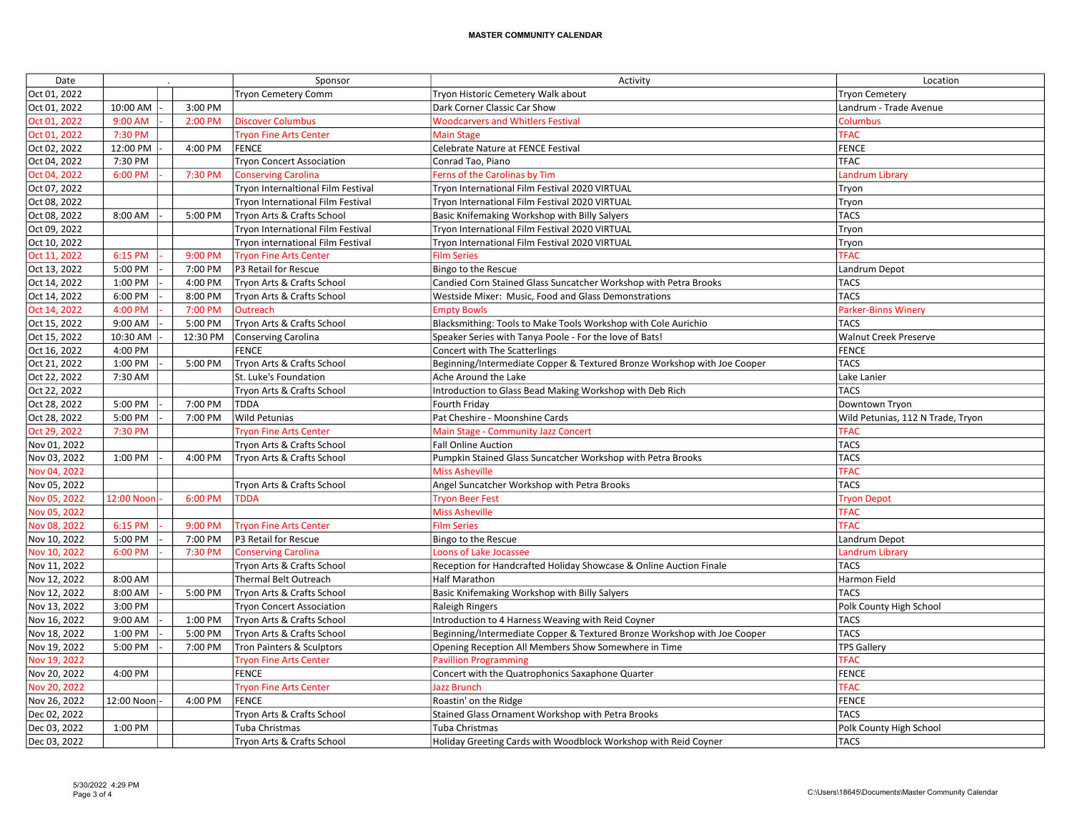| Date         |            |          | Sponsor                            | Activity                                                                 | Location                          |
|--------------|------------|----------|------------------------------------|--------------------------------------------------------------------------|-----------------------------------|
| Oct 01, 2022 |            |          | Tryon Cemetery Comm                | Tryon Historic Cemetery Walk about                                       | <b>Tryon Cemetery</b>             |
| Oct 01, 2022 | 10:00 AM   | 3:00 PM  |                                    | Dark Corner Classic Car Show                                             | Landrum - Trade Avenue            |
| Oct 01, 2022 | 9:00 AM    | 2:00 PM  | <b>Discover Columbus</b>           | <b>Woodcarvers and Whitlers Festival</b>                                 | Columbus                          |
| Oct 01, 2022 | 7:30 PM    |          | <b>Tryon Fine Arts Center</b>      | <b>Main Stage</b>                                                        | <b>TFAC</b>                       |
| Oct 02, 2022 | 12:00 PM   | 4:00 PM  | <b>FENCE</b>                       | Celebrate Nature at FENCE Festival                                       | FENCE                             |
| Oct 04, 2022 | 7:30 PM    |          | <b>Tryon Concert Association</b>   | Conrad Tao, Piano                                                        | <b>TFAC</b>                       |
| Oct 04, 2022 | 6:00 PM    | 7:30 PM  | <b>Conserving Carolina</b>         | Ferns of the Carolinas by Tim                                            | <b>Landrum Library</b>            |
| Oct 07, 2022 |            |          | Tryon Internaltional Film Festival | Tryon International Film Festival 2020 VIRTUAL                           | Tryon                             |
| Oct 08, 2022 |            |          | Tryon International Film Festival  | Tryon International Film Festival 2020 VIRTUAL                           | Tryon                             |
| Oct 08, 2022 | 8:00 AM    | 5:00 PM  | Tryon Arts & Crafts School         | Basic Knifemaking Workshop with Billy Salyers                            | <b>TACS</b>                       |
| Oct 09, 2022 |            |          | Tryon International Film Festival  | Tryon International Film Festival 2020 VIRTUAL                           | Tryon                             |
| Oct 10, 2022 |            |          | Tryon international Film Festival  | Tryon International Film Festival 2020 VIRTUAL                           | Tryon                             |
| Oct 11, 2022 | 6:15 PM    | 9:00 PM  | <b>Tryon Fine Arts Center</b>      | <b>Film Series</b>                                                       | <b>TFAC</b>                       |
| Oct 13, 2022 | 5:00 PM    | 7:00 PM  | P3 Retail for Rescue               | Bingo to the Rescue                                                      | Landrum Depot                     |
| Oct 14, 2022 | 1:00 PM    | 4:00 PM  | Tryon Arts & Crafts School         | Candied Corn Stained Glass Suncatcher Workshop with Petra Brooks         | <b>TACS</b>                       |
| Oct 14, 2022 | 6:00 PM    | 8:00 PM  | Tryon Arts & Crafts School         | Westside Mixer: Music, Food and Glass Demonstrations                     | <b>TACS</b>                       |
| Oct 14, 2022 | 4:00 PM    | 7:00 PM  | Outreach                           | <b>Empty Bowls</b>                                                       | <b>Parker-Binns Winery</b>        |
| Oct 15, 2022 | 9:00 AM    | 5:00 PM  | Tryon Arts & Crafts School         | Blacksmithing: Tools to Make Tools Workshop with Cole Aurichio           | <b>TACS</b>                       |
| Oct 15, 2022 | 10:30 AM   | 12:30 PM | <b>Conserving Carolina</b>         | Speaker Series with Tanya Poole - For the love of Bats!                  | <b>Walnut Creek Preserve</b>      |
| Oct 16, 2022 | 4:00 PM    |          | <b>FENCE</b>                       | Concert with The Scatterlings                                            | FENCE                             |
| Oct 21, 2022 | 1:00 PM    | 5:00 PM  | Tryon Arts & Crafts School         | Beginning/Intermediate Copper & Textured Bronze Workshop with Joe Cooper | TACS                              |
| Oct 22, 2022 | 7:30 AM    |          | St. Luke's Foundation              | Ache Around the Lake                                                     | Lake Lanier                       |
| Oct 22, 2022 |            |          | Tryon Arts & Crafts School         | Introduction to Glass Bead Making Workshop with Deb Rich                 | <b>TACS</b>                       |
| Oct 28, 2022 | 5:00 PM    | 7:00 PM  | <b>TDDA</b>                        | Fourth Friday                                                            | Downtown Tryon                    |
| Oct 28, 2022 | 5:00 PM    | 7:00 PM  | Wild Petunias                      | Pat Cheshire - Moonshine Cards                                           | Wild Petunias, 112 N Trade, Tryon |
| Oct 29, 2022 | 7:30 PM    |          | <b>Tryon Fine Arts Center</b>      | Main Stage - Community Jazz Concert                                      | <b>TFAC</b>                       |
| Nov 01, 2022 |            |          | Tryon Arts & Crafts School         | <b>Fall Online Auction</b>                                               | <b>TACS</b>                       |
| Nov 03, 2022 | 1:00 PM    | 4:00 PM  | Tryon Arts & Crafts School         | Pumpkin Stained Glass Suncatcher Workshop with Petra Brooks              | <b>TACS</b>                       |
| Nov 04, 2022 |            |          |                                    | <b>Miss Asheville</b>                                                    | <b>TFAC</b>                       |
| Nov 05, 2022 |            |          | Tryon Arts & Crafts School         | Angel Suncatcher Workshop with Petra Brooks                              | <b>TACS</b>                       |
| Nov 05, 2022 | 12:00 Noon | 6:00 PM  | <b>TDDA</b>                        | <b>Tryon Beer Fest</b>                                                   | <b>Tryon Depot</b>                |
| Nov 05, 2022 |            |          |                                    | <b>Miss Asheville</b>                                                    | <b>TFAC</b>                       |
| Nov 08, 2022 | 6:15 PM    | 9:00 PM  | <b>Tryon Fine Arts Center</b>      | <b>Film Series</b>                                                       | <b>TFAC</b>                       |
| Nov 10, 2022 | 5:00 PM    | 7:00 PM  | P3 Retail for Rescue               | Bingo to the Rescue                                                      | Landrum Depot                     |
| Nov 10, 2022 | 6:00 PM    | 7:30 PM  | <b>Conserving Carolina</b>         | Loons of Lake Jocassee                                                   | <b>Landrum Library</b>            |
| Nov 11, 2022 |            |          | Tryon Arts & Crafts School         | Reception for Handcrafted Holiday Showcase & Online Auction Finale       | <b>TACS</b>                       |
| Nov 12, 2022 | 8:00 AM    |          | Thermal Belt Outreach              | <b>Half Marathon</b>                                                     | Harmon Field                      |
| Nov 12, 2022 | 8:00 AM    | 5:00 PM  | Tryon Arts & Crafts School         | Basic Knifemaking Workshop with Billy Salyers                            | <b>TACS</b>                       |
| Nov 13, 2022 | 3:00 PM    |          | <b>Tryon Concert Association</b>   | <b>Raleigh Ringers</b>                                                   | Polk County High School           |
| Nov 16, 2022 | 9:00 AM    | 1:00 PM  | Tryon Arts & Crafts School         | Introduction to 4 Harness Weaving with Reid Coyner                       | <b>TACS</b>                       |
| Nov 18, 2022 | 1:00 PM    | 5:00 PM  | Tryon Arts & Crafts School         | Beginning/Intermediate Copper & Textured Bronze Workshop with Joe Cooper | TACS                              |
| Nov 19, 2022 | 5:00 PM    | 7:00 PM  | Tron Painters & Sculptors          | Opening Reception All Members Show Somewhere in Time                     | <b>TPS Gallery</b>                |
| Nov 19, 2022 |            |          | <b>Tryon Fine Arts Center</b>      | <b>Pavillion Programming</b>                                             | <b>TFAC</b>                       |
| Nov 20, 2022 | 4:00 PM    |          | <b>FENCE</b>                       | Concert with the Quatrophonics Saxaphone Quarter                         | FENCE                             |
| Nov 20, 2022 |            |          | <b>Tryon Fine Arts Center</b>      | <b>Jazz Brunch</b>                                                       | <b>TFAC</b>                       |
| Nov 26, 2022 | 12:00 Noon | 4:00 PM  | <b>FENCE</b>                       | Roastin' on the Ridge                                                    | FENCE                             |
| Dec 02, 2022 |            |          | Tryon Arts & Crafts School         | Stained Glass Ornament Workshop with Petra Brooks                        | <b>TACS</b>                       |
| Dec 03, 2022 | 1:00 PM    |          | Tuba Christmas                     | Tuba Christmas                                                           | Polk County High School           |
| Dec 03, 2022 |            |          | Tryon Arts & Crafts School         | Holiday Greeting Cards with Woodblock Workshop with Reid Coyner          | <b>TACS</b>                       |
|              |            |          |                                    |                                                                          |                                   |